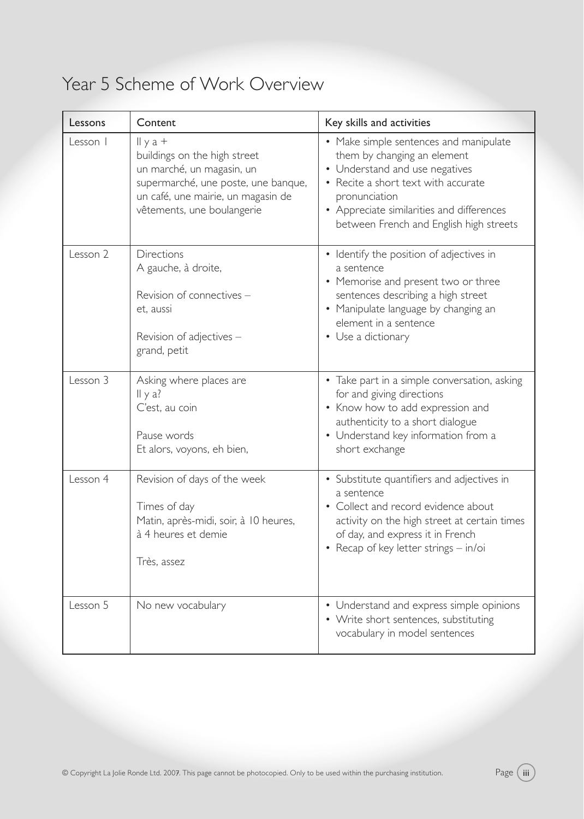## Year 5 Scheme of Work Overview

| Lessons  | Content                                                                                                                                                                                 | Key skills and activities                                                                                                                                                                                                                               |
|----------|-----------------------------------------------------------------------------------------------------------------------------------------------------------------------------------------|---------------------------------------------------------------------------------------------------------------------------------------------------------------------------------------------------------------------------------------------------------|
| Lesson   | $II \gamma a +$<br>buildings on the high street<br>un marché, un magasin, un<br>supermarché, une poste, une banque,<br>un café, une mairie, un magasin de<br>vêtements, une boulangerie | • Make simple sentences and manipulate<br>them by changing an element<br>• Understand and use negatives<br>• Recite a short text with accurate<br>pronunciation<br>• Appreciate similarities and differences<br>between French and English high streets |
| Lesson 2 | <b>Directions</b><br>A gauche, à droite,<br>Revision of connectives -<br>et, aussi<br>Revision of adjectives -<br>grand, petit                                                          | • Identify the position of adjectives in<br>a sentence<br>• Memorise and present two or three<br>sentences describing a high street<br>Manipulate language by changing an<br>element in a sentence<br>• Use a dictionary                                |
| Lesson 3 | Asking where places are<br>$II \vee a?$<br>C'est, au coin<br>Pause words<br>Et alors, voyons, eh bien,                                                                                  | • Take part in a simple conversation, asking<br>for and giving directions<br>• Know how to add expression and<br>authenticity to a short dialogue<br>• Understand key information from a<br>short exchange                                              |
| Lesson 4 | Revision of days of the week<br>Times of day<br>Matin, après-midi, soir, à 10 heures,<br>à 4 heures et demie<br>Très, assez                                                             | • Substitute quantifiers and adjectives in<br>a sentence<br>• Collect and record evidence about<br>activity on the high street at certain times<br>of day, and express it in French<br>• Recap of key letter strings - in/oi                            |
| Lesson 5 | No new vocabulary                                                                                                                                                                       | • Understand and express simple opinions<br>• Write short sentences, substituting<br>vocabulary in model sentences                                                                                                                                      |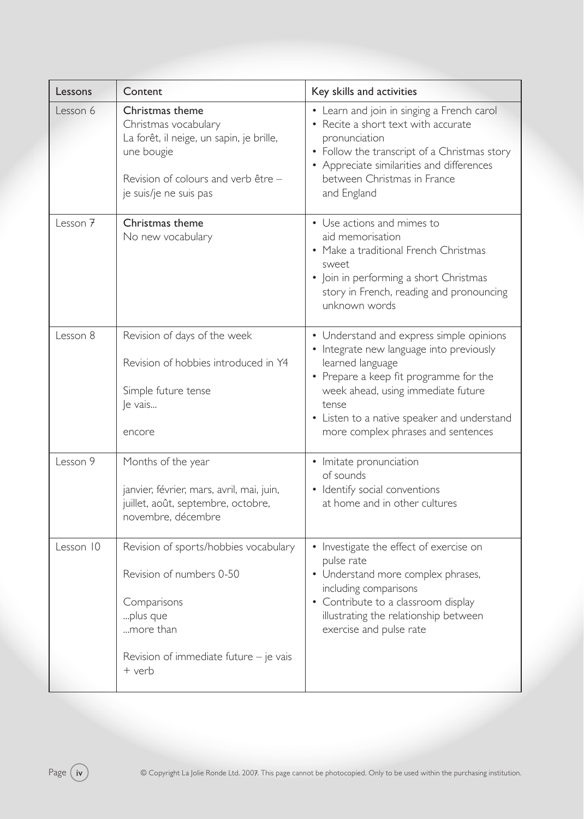| Lessons             | Content                                                                                                                                                            | Key skills and activities                                                                                                                                                                                                                                                              |
|---------------------|--------------------------------------------------------------------------------------------------------------------------------------------------------------------|----------------------------------------------------------------------------------------------------------------------------------------------------------------------------------------------------------------------------------------------------------------------------------------|
| Lesson 6            | Christmas theme<br>Christmas vocabulary<br>La forêt, il neige, un sapin, je brille,<br>une bougie<br>Revision of colours and verb être -<br>je suis/je ne suis pas | • Learn and join in singing a French carol<br>• Recite a short text with accurate<br>pronunciation<br>Follow the transcript of a Christmas story<br>• Appreciate similarities and differences<br>between Christmas in France<br>and England                                            |
| Lesson <sub>7</sub> | Christmas theme<br>No new vocabulary                                                                                                                               | • Use actions and mimes to<br>aid memorisation<br>• Make a traditional French Christmas<br>sweet<br>• Join in performing a short Christmas<br>story in French, reading and pronouncing<br>unknown words                                                                                |
| Lesson 8            | Revision of days of the week<br>Revision of hobbies introduced in Y4<br>Simple future tense<br>Je vais<br>encore                                                   | • Understand and express simple opinions<br>• Integrate new language into previously<br>learned language<br>• Prepare a keep fit programme for the<br>week ahead, using immediate future<br>tense<br>• Listen to a native speaker and understand<br>more complex phrases and sentences |
| Lesson 9            | Months of the year<br>janvier, février, mars, avril, mai, juin,<br>juillet, août, septembre, octobre,<br>novembre, décembre                                        | Imitate pronunciation<br>٠<br>of sounds<br>· Identify social conventions<br>at home and in other cultures                                                                                                                                                                              |
| Lesson 10           | Revision of sports/hobbies vocabulary<br>Revision of numbers 0-50<br>Comparisons<br>plus que<br>more than<br>Revision of immediate future $-$ je vais<br>$+$ verb  | • Investigate the effect of exercise on<br>pulse rate<br>• Understand more complex phrases,<br>including comparisons<br>Contribute to a classroom display<br>illustrating the relationship between<br>exercise and pulse rate                                                          |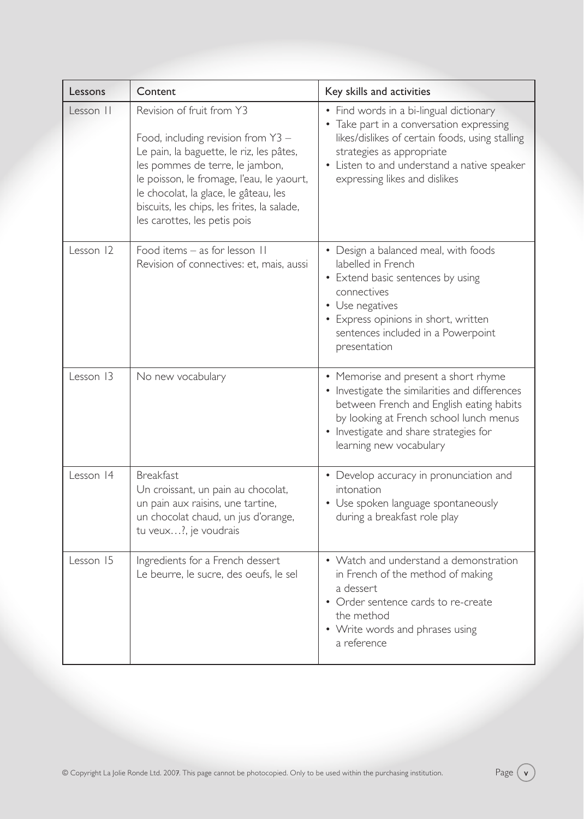| Lessons   | Content                                                                                                                                                                                                                                                                                                               | Key skills and activities                                                                                                                                                                                                                           |
|-----------|-----------------------------------------------------------------------------------------------------------------------------------------------------------------------------------------------------------------------------------------------------------------------------------------------------------------------|-----------------------------------------------------------------------------------------------------------------------------------------------------------------------------------------------------------------------------------------------------|
| Lesson II | Revision of fruit from Y3<br>Food, including revision from $Y3 -$<br>Le pain, la baguette, le riz, les pâtes,<br>les pommes de terre, le jambon,<br>le poisson, le fromage, l'eau, le yaourt,<br>le chocolat, la glace, le gâteau, les<br>biscuits, les chips, les frites, la salade,<br>les carottes, les petis pois | • Find words in a bi-lingual dictionary<br>• Take part in a conversation expressing<br>likes/dislikes of certain foods, using stalling<br>strategies as appropriate<br>• Listen to and understand a native speaker<br>expressing likes and dislikes |
| Lesson 12 | Food items - as for lesson II<br>Revision of connectives: et, mais, aussi                                                                                                                                                                                                                                             | • Design a balanced meal, with foods<br>labelled in French<br>• Extend basic sentences by using<br>connectives<br>• Use negatives<br>• Express opinions in short, written<br>sentences included in a Powerpoint<br>presentation                     |
| Lesson 13 | No new vocabulary                                                                                                                                                                                                                                                                                                     | • Memorise and present a short rhyme<br>• Investigate the similarities and differences<br>between French and English eating habits<br>by looking at French school lunch menus<br>• Investigate and share strategies for<br>learning new vocabulary  |
| Lesson 14 | <b>Breakfast</b><br>Un croissant, un pain au chocolat,<br>un pain aux raisins, une tartine,<br>un chocolat chaud, un jus d'orange,<br>tu veux?, je voudrais                                                                                                                                                           | • Develop accuracy in pronunciation and<br>intonation<br>Use spoken language spontaneously<br>during a breakfast role play                                                                                                                          |
| Lesson 15 | Ingredients for a French dessert<br>Le beurre, le sucre, des oeufs, le sel                                                                                                                                                                                                                                            | • Watch and understand a demonstration<br>in French of the method of making<br>a dessert<br>• Order sentence cards to re-create<br>the method<br>• Write words and phrases using<br>a reference                                                     |